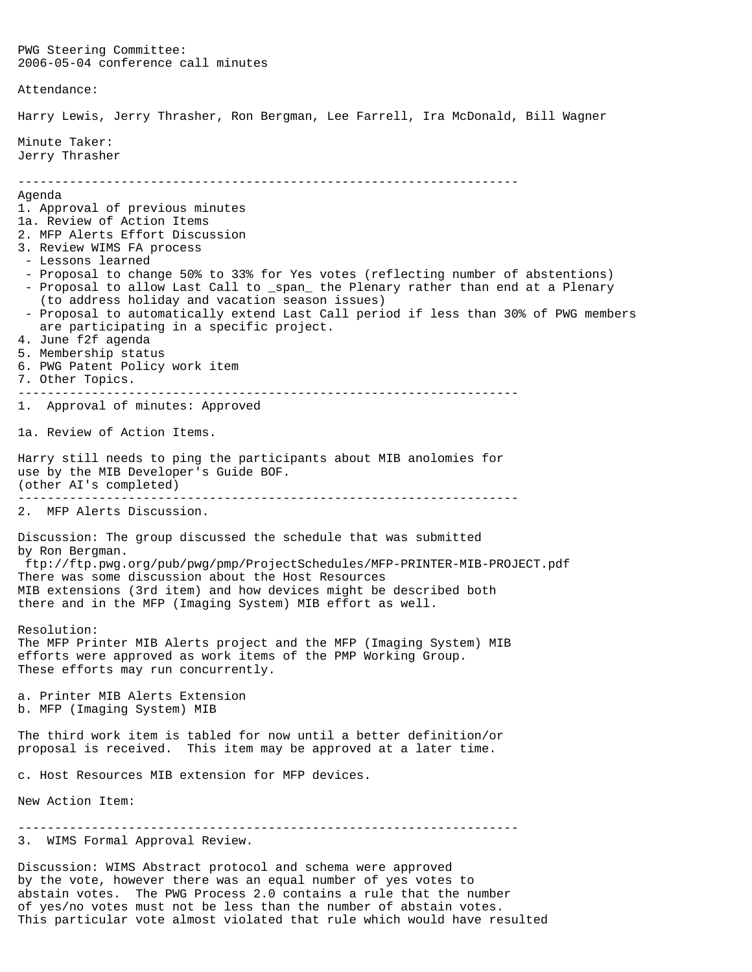PWG Steering Committee: 2006-05-04 conference call minutes Attendance: Harry Lewis, Jerry Thrasher, Ron Bergman, Lee Farrell, Ira McDonald, Bill Wagner Minute Taker: Jerry Thrasher -------------------------------------------------------------------- Agenda 1. Approval of previous minutes 1a. Review of Action Items 2. MFP Alerts Effort Discussion 3. Review WIMS FA process - Lessons learned - Proposal to change 50% to 33% for Yes votes (reflecting number of abstentions) - Proposal to allow Last Call to \_span\_ the Plenary rather than end at a Plenary (to address holiday and vacation season issues) - Proposal to automatically extend Last Call period if less than 30% of PWG members are participating in a specific project. 4. June f2f agenda 5. Membership status 6. PWG Patent Policy work item 7. Other Topics. -------------------------------------------------------------------- 1. Approval of minutes: Approved 1a. Review of Action Items. Harry still needs to ping the participants about MIB anolomies for use by the MIB Developer's Guide BOF. (other AI's completed) -------------------------------------------------------------------- 2. MFP Alerts Discussion. Discussion: The group discussed the schedule that was submitted by Ron Bergman. ftp://ftp.pwg.org/pub/pwg/pmp/ProjectSchedules/MFP-PRINTER-MIB-PROJECT.pdf There was some discussion about the Host Resources MIB extensions (3rd item) and how devices might be described both there and in the MFP (Imaging System) MIB effort as well. Resolution: The MFP Printer MIB Alerts project and the MFP (Imaging System) MIB efforts were approved as work items of the PMP Working Group. These efforts may run concurrently. a. Printer MIB Alerts Extension b. MFP (Imaging System) MIB The third work item is tabled for now until a better definition/or proposal is received. This item may be approved at a later time. c. Host Resources MIB extension for MFP devices. New Action Item: -------------------------------------------------------------------- 3. WIMS Formal Approval Review. Discussion: WIMS Abstract protocol and schema were approved by the vote, however there was an equal number of yes votes to

abstain votes. The PWG Process 2.0 contains a rule that the number of yes/no votes must not be less than the number of abstain votes. This particular vote almost violated that rule which would have resulted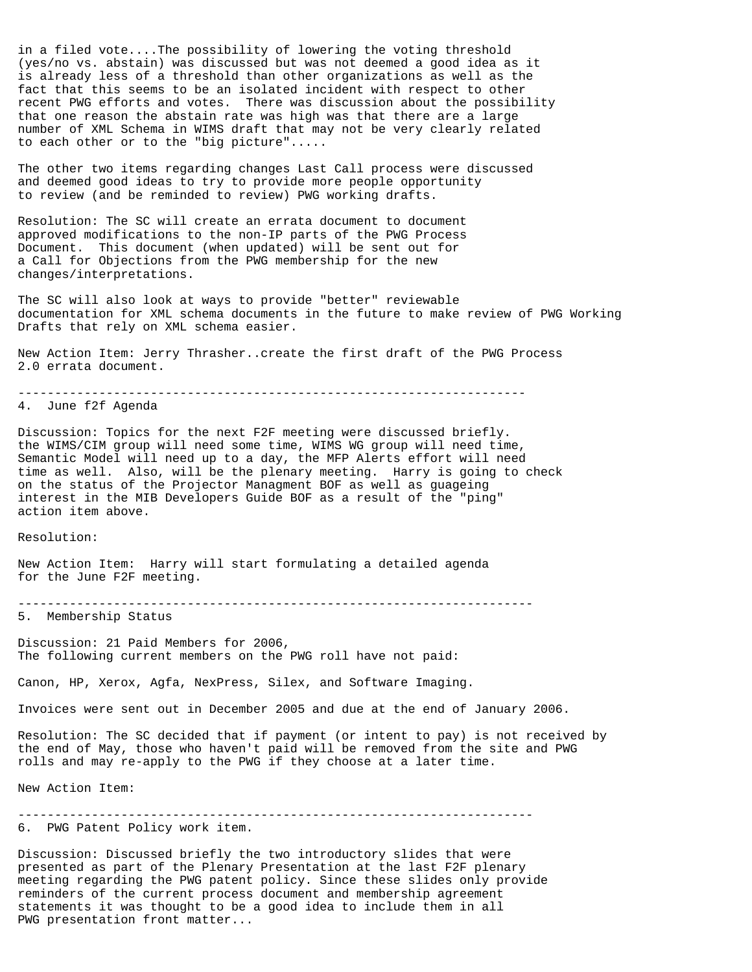in a filed vote....The possibility of lowering the voting threshold (yes/no vs. abstain) was discussed but was not deemed a good idea as it is already less of a threshold than other organizations as well as the fact that this seems to be an isolated incident with respect to other recent PWG efforts and votes. There was discussion about the possibility that one reason the abstain rate was high was that there are a large number of XML Schema in WIMS draft that may not be very clearly related to each other or to the "big picture".....

The other two items regarding changes Last Call process were discussed and deemed good ideas to try to provide more people opportunity to review (and be reminded to review) PWG working drafts.

Resolution: The SC will create an errata document to document approved modifications to the non-IP parts of the PWG Process Document. This document (when updated) will be sent out for a Call for Objections from the PWG membership for the new changes/interpretations.

The SC will also look at ways to provide "better" reviewable documentation for XML schema documents in the future to make review of PWG Working Drafts that rely on XML schema easier.

New Action Item: Jerry Thrasher..create the first draft of the PWG Process 2.0 errata document.

---------------------------------------------------------------------

4. June f2f Agenda

Discussion: Topics for the next F2F meeting were discussed briefly. the WIMS/CIM group will need some time, WIMS WG group will need time, Semantic Model will need up to a day, the MFP Alerts effort will need time as well. Also, will be the plenary meeting. Harry is going to check on the status of the Projector Managment BOF as well as guageing interest in the MIB Developers Guide BOF as a result of the "ping" action item above.

Resolution:

New Action Item: Harry will start formulating a detailed agenda for the June F2F meeting.

----------------------------------------------------------------------

5. Membership Status

Discussion: 21 Paid Members for 2006, The following current members on the PWG roll have not paid:

Canon, HP, Xerox, Agfa, NexPress, Silex, and Software Imaging.

Invoices were sent out in December 2005 and due at the end of January 2006.

Resolution: The SC decided that if payment (or intent to pay) is not received by the end of May, those who haven't paid will be removed from the site and PWG rolls and may re-apply to the PWG if they choose at a later time.

New Action Item:

----------------------------------------------------------------------

6. PWG Patent Policy work item.

Discussion: Discussed briefly the two introductory slides that were presented as part of the Plenary Presentation at the last F2F plenary meeting regarding the PWG patent policy. Since these slides only provide reminders of the current process document and membership agreement statements it was thought to be a good idea to include them in all PWG presentation front matter...